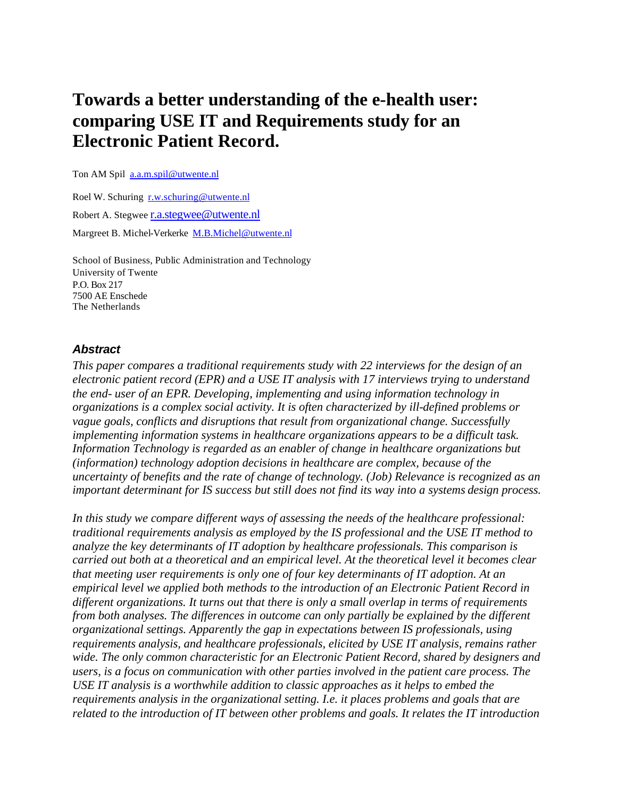# **Towards a better understanding of the e-health user: comparing USE IT and Requirements study for an Electronic Patient Record.**

Ton AM Spil a.a.m.spil@utwente.nl

Roel W. Schuring r.w.schuring@utwente.nl Robert A. Stegwee r.a.stegwee@utwente.nl Margreet B. Michel-Verkerke M.B.Michel@utwente.nl

School of Business, Public Administration and Technology University of Twente P.O. Box 217 7500 AE Enschede The Netherlands

## *Abstract*

*This paper compares a traditional requirements study with 22 interviews for the design of an electronic patient record (EPR) and a USE IT analysis with 17 interviews trying to understand the end- user of an EPR. Developing, implementing and using information technology in organizations is a complex social activity. It is often characterized by ill-defined problems or vague goals, conflicts and disruptions that result from organizational change. Successfully implementing information systems in healthcare organizations appears to be a difficult task. Information Technology is regarded as an enabler of change in healthcare organizations but (information) technology adoption decisions in healthcare are complex, because of the uncertainty of benefits and the rate of change of technology. (Job) Relevance is recognized as an important determinant for IS success but still does not find its way into a systems design process.*

*In this study we compare different ways of assessing the needs of the healthcare professional: traditional requirements analysis as employed by the IS professional and the USE IT method to analyze the key determinants of IT adoption by healthcare professionals. This comparison is carried out both at a theoretical and an empirical level. At the theoretical level it becomes clear that meeting user requirements is only one of four key determinants of IT adoption. At an empirical level we applied both methods to the introduction of an Electronic Patient Record in different organizations. It turns out that there is only a small overlap in terms of requirements from both analyses. The differences in outcome can only partially be explained by the different organizational settings. Apparently the gap in expectations between IS professionals, using requirements analysis, and healthcare professionals, elicited by USE IT analysis, remains rather wide. The only common characteristic for an Electronic Patient Record, shared by designers and users, is a focus on communication with other parties involved in the patient care process. The USE IT analysis is a worthwhile addition to classic approaches as it helps to embed the requirements analysis in the organizational setting. I.e. it places problems and goals that are related to the introduction of IT between other problems and goals. It relates the IT introduction*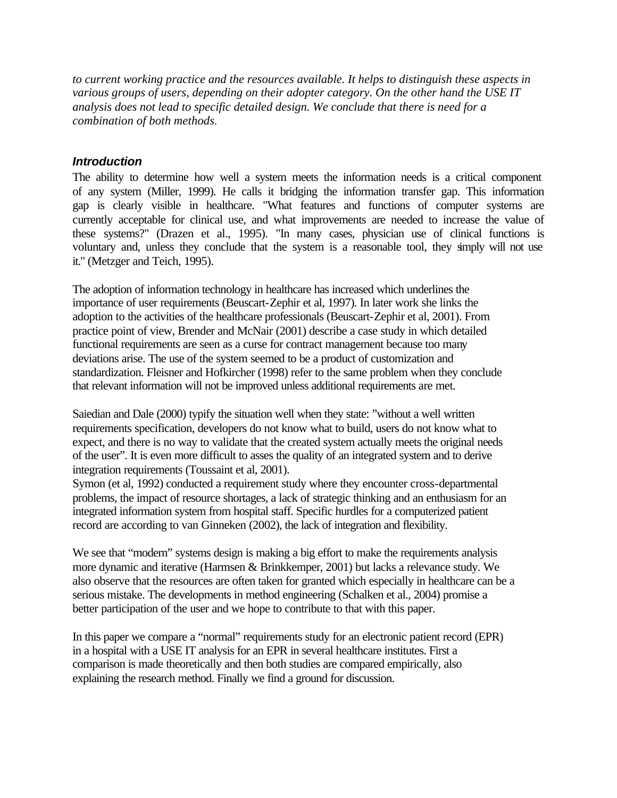*to current working practice and the resources available. It helps to distinguish these aspects in various groups of users, depending on their adopter category. On the other hand the USE IT analysis does not lead to specific detailed design. We conclude that there is need for a combination of both methods*.

## *Introduction*

The ability to determine how well a system meets the information needs is a critical component of any system (Miller, 1999). He calls it bridging the information transfer gap. This information gap is clearly visible in healthcare. "What features and functions of computer systems are currently acceptable for clinical use, and what improvements are needed to increase the value of these systems?" (Drazen et al., 1995). "In many cases, physician use of clinical functions is voluntary and, unless they conclude that the system is a reasonable tool, they simply will not use it." (Metzger and Teich, 1995).

The adoption of information technology in healthcare has increased which underlines the importance of user requirements (Beuscart-Zephir et al, 1997). In later work she links the adoption to the activities of the healthcare professionals (Beuscart-Zephir et al, 2001). From practice point of view, Brender and McNair (2001) describe a case study in which detailed functional requirements are seen as a curse for contract management because too many deviations arise. The use of the system seemed to be a product of customization and standardization. Fleisner and Hofkircher (1998) refer to the same problem when they conclude that relevant information will not be improved unless additional requirements are met.

Saiedian and Dale (2000) typify the situation well when they state: "without a well written requirements specification, developers do not know what to build, users do not know what to expect, and there is no way to validate that the created system actually meets the original needs of the user". It is even more difficult to asses the quality of an integrated system and to derive integration requirements (Toussaint et al, 2001).

Symon (et al, 1992) conducted a requirement study where they encounter cross-departmental problems, the impact of resource shortages, a lack of strategic thinking and an enthusiasm for an integrated information system from hospital staff. Specific hurdles for a computerized patient record are according to van Ginneken (2002), the lack of integration and flexibility.

We see that "modern" systems design is making a big effort to make the requirements analysis more dynamic and iterative (Harmsen & Brinkkemper, 2001) but lacks a relevance study. We also observe that the resources are often taken for granted which especially in healthcare can be a serious mistake. The developments in method engineering (Schalken et al., 2004) promise a better participation of the user and we hope to contribute to that with this paper.

In this paper we compare a "normal" requirements study for an electronic patient record (EPR) in a hospital with a USE IT analysis for an EPR in several healthcare institutes. First a comparison is made theoretically and then both studies are compared empirically, also explaining the research method. Finally we find a ground for discussion.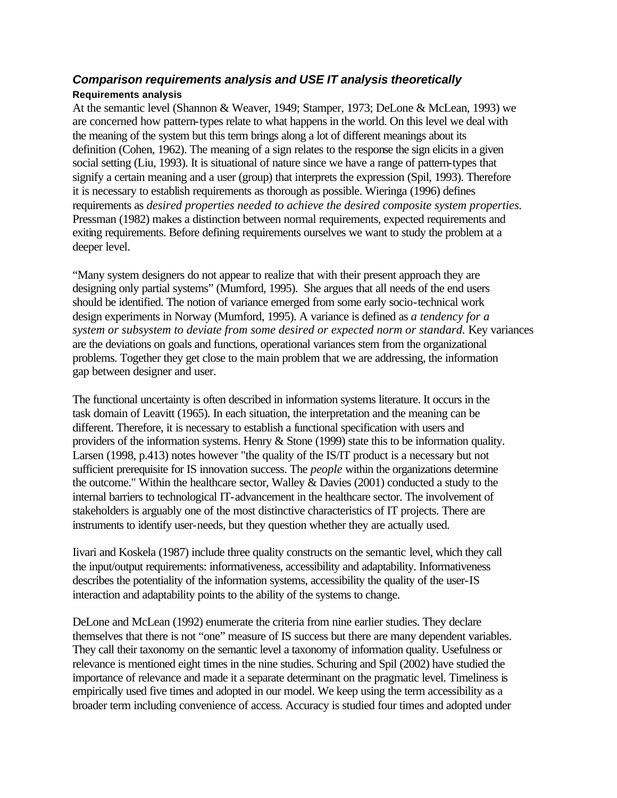# *Comparison requirements analysis and USE IT analysis theoretically* **Requirements analysis**

At the semantic level (Shannon & Weaver, 1949; Stamper, 1973; DeLone & McLean, 1993) we are concerned how pattern-types relate to what happens in the world. On this level we deal with the meaning of the system but this term brings along a lot of different meanings about its definition (Cohen, 1962). The meaning of a sign relates to the response the sign elicits in a given social setting (Liu, 1993). It is situational of nature since we have a range of pattern-types that signify a certain meaning and a user (group) that interprets the expression (Spil, 1993). Therefore it is necessary to establish requirements as thorough as possible. Wieringa (1996) defines requirements as *desired properties needed to achieve the desired composite system properties.* Pressman (1982) makes a distinction between normal requirements, expected requirements and exiting requirements. Before defining requirements ourselves we want to study the problem at a deeper level.

"Many system designers do not appear to realize that with their present approach they are designing only partial systems" (Mumford, 1995). She argues that all needs of the end users should be identified. The notion of variance emerged from some early socio-technical work design experiments in Norway (Mumford, 1995). A variance is defined as *a tendency for a system or subsystem to deviate from some desired or expected norm or standard.* Key variances are the deviations on goals and functions, operational variances stem from the organizational problems. Together they get close to the main problem that we are addressing, the information gap between designer and user.

The functional uncertainty is often described in information systems literature. It occurs in the task domain of Leavitt (1965). In each situation, the interpretation and the meaning can be different. Therefore, it is necessary to establish a functional specification with users and providers of the information systems. Henry & Stone (1999) state this to be information quality. Larsen (1998, p.413) notes however "the quality of the IS/IT product is a necessary but not sufficient prerequisite for IS innovation success. The *people* within the organizations determine the outcome." Within the healthcare sector, Walley & Davies (2001) conducted a study to the internal barriers to technological IT-advancement in the healthcare sector. The involvement of stakeholders is arguably one of the most distinctive characteristics of IT projects. There are instruments to identify user-needs, but they question whether they are actually used.

Iivari and Koskela (1987) include three quality constructs on the semantic level, which they call the input/output requirements: informativeness, accessibility and adaptability. Informativeness describes the potentiality of the information systems, accessibility the quality of the user-IS interaction and adaptability points to the ability of the systems to change.

DeLone and McLean (1992) enumerate the criteria from nine earlier studies. They declare themselves that there is not "one" measure of IS success but there are many dependent variables. They call their taxonomy on the semantic level a taxonomy of information quality. Usefulness or relevance is mentioned eight times in the nine studies. Schuring and Spil (2002) have studied the importance of relevance and made it a separate determinant on the pragmatic level. Timeliness is empirically used five times and adopted in our model. We keep using the term accessibility as a broader term including convenience of access. Accuracy is studied four times and adopted under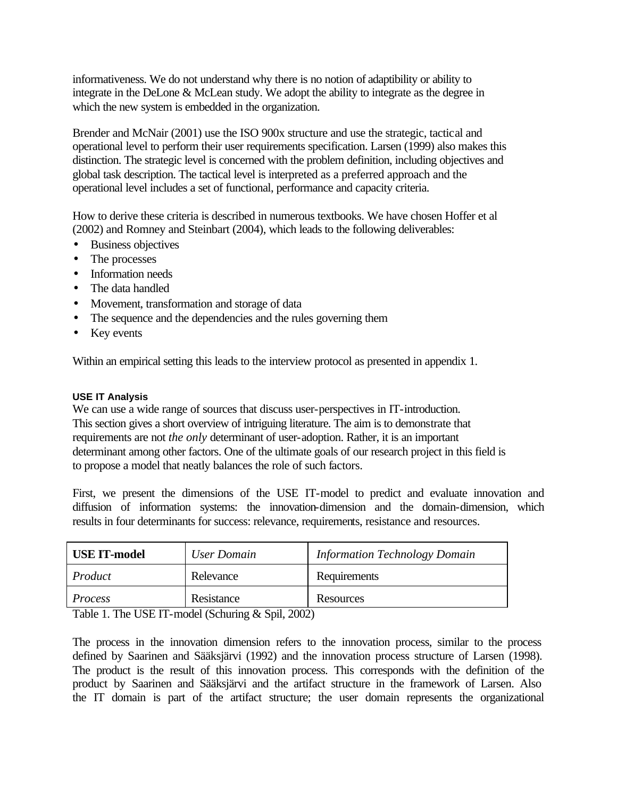informativeness. We do not understand why there is no notion of adaptibility or ability to integrate in the DeLone & McLean study. We adopt the ability to integrate as the degree in which the new system is embedded in the organization.

Brender and McNair (2001) use the ISO 900x structure and use the strategic, tactical and operational level to perform their user requirements specification. Larsen (1999) also makes this distinction. The strategic level is concerned with the problem definition, including objectives and global task description. The tactical level is interpreted as a preferred approach and the operational level includes a set of functional, performance and capacity criteria.

How to derive these criteria is described in numerous textbooks. We have chosen Hoffer et al (2002) and Romney and Steinbart (2004), which leads to the following deliverables:

- Business objectives
- The processes
- Information needs
- The data handled
- Movement, transformation and storage of data
- The sequence and the dependencies and the rules governing them
- Key events

Within an empirical setting this leads to the interview protocol as presented in appendix 1.

## **USE IT Analysis**

We can use a wide range of sources that discuss user-perspectives in IT-introduction. This section gives a short overview of intriguing literature. The aim is to demonstrate that requirements are not *the only* determinant of user-adoption. Rather, it is an important determinant among other factors. One of the ultimate goals of our research project in this field is to propose a model that neatly balances the role of such factors.

First, we present the dimensions of the USE IT-model to predict and evaluate innovation and diffusion of information systems: the innovation-dimension and the domain-dimension, which results in four determinants for success: relevance, requirements, resistance and resources.

| <b>USE IT-model</b> | User Domain     | <b>Information Technology Domain</b> |
|---------------------|-----------------|--------------------------------------|
| Product             | Relevance       | Requirements                         |
| <i>Process</i>      | Resistance      | Resources                            |
| ___                 | ------<br>- - - |                                      |

Table 1. The USE IT-model (Schuring & Spil, 2002)

The process in the innovation dimension refers to the innovation process, similar to the process defined by Saarinen and Sääksjärvi (1992) and the innovation process structure of Larsen (1998). The product is the result of this innovation process. This corresponds with the definition of the product by Saarinen and Sääksjärvi and the artifact structure in the framework of Larsen. Also the IT domain is part of the artifact structure; the user domain represents the organizational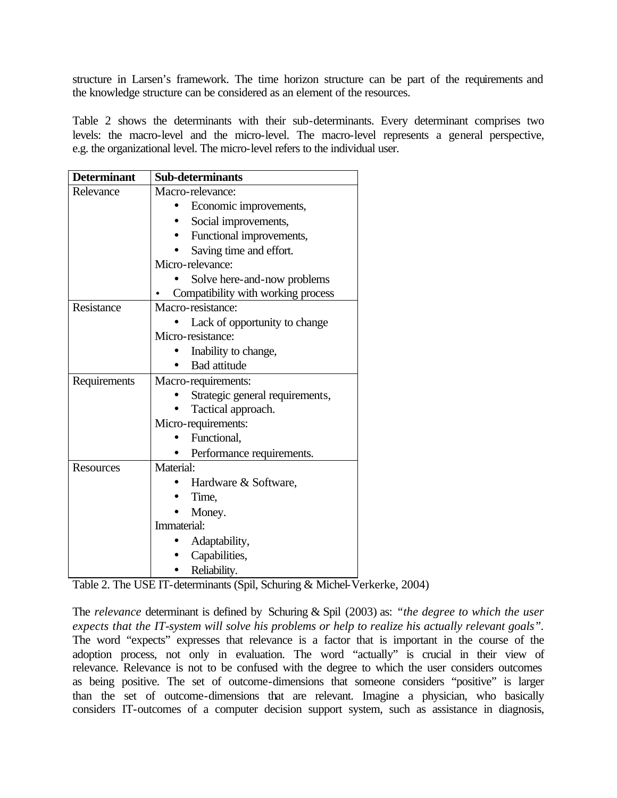structure in Larsen's framework. The time horizon structure can be part of the requirements and the knowledge structure can be considered as an element of the resources.

Table 2 shows the determinants with their sub-determinants. Every determinant comprises two levels: the macro-level and the micro-level. The macro-level represents a general perspective, e.g. the organizational level. The micro-level refers to the individual user.

| <b>Determinant</b> | <b>Sub-determinants</b>                                           |  |
|--------------------|-------------------------------------------------------------------|--|
| Relevance          | Macro-relevance:                                                  |  |
|                    | Economic improvements,                                            |  |
|                    | Social improvements,                                              |  |
|                    | Functional improvements,                                          |  |
|                    | Saving time and effort.                                           |  |
|                    | Micro-relevance:                                                  |  |
|                    | Solve here-and-now problems<br>Compatibility with working process |  |
| Resistance         | Macro-resistance:                                                 |  |
|                    | Lack of opportunity to change                                     |  |
|                    | Micro-resistance:                                                 |  |
|                    | Inability to change,                                              |  |
|                    | <b>Bad</b> attitude                                               |  |
| Requirements       | Macro-requirements:                                               |  |
|                    | Strategic general requirements,                                   |  |
|                    | Tactical approach.                                                |  |
|                    | Micro-requirements:                                               |  |
|                    | Functional,                                                       |  |
|                    | Performance requirements.                                         |  |
| Resources          | Material:                                                         |  |
|                    | Hardware & Software,                                              |  |
|                    | Time,                                                             |  |
|                    | Money.                                                            |  |
|                    | Immaterial:                                                       |  |
|                    | Adaptability,                                                     |  |
|                    | Capabilities,                                                     |  |
|                    | Reliability.                                                      |  |

Table 2. The USE IT-determinants (Spil, Schuring & Michel-Verkerke, 2004)

The *relevance* determinant is defined by Schuring & Spil (2003) as: *"the degree to which the user expects that the IT-system will solve his problems or help to realize his actually relevant goals".* The word "expects" expresses that relevance is a factor that is important in the course of the adoption process, not only in evaluation. The word "actually" is crucial in their view of relevance. Relevance is not to be confused with the degree to which the user considers outcomes as being positive. The set of outcome-dimensions that someone considers "positive" is larger than the set of outcome-dimensions that are relevant. Imagine a physician, who basically considers IT-outcomes of a computer decision support system, such as assistance in diagnosis,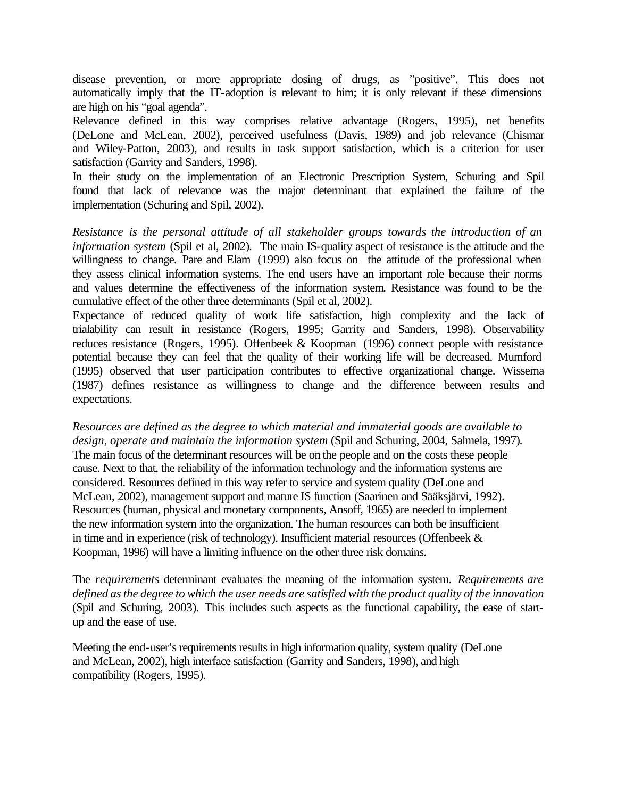disease prevention, or more appropriate dosing of drugs, as "positive". This does not automatically imply that the IT-adoption is relevant to him; it is only relevant if these dimensions are high on his "goal agenda".

Relevance defined in this way comprises relative advantage (Rogers, 1995), net benefits (DeLone and McLean, 2002), perceived usefulness (Davis, 1989) and job relevance (Chismar and Wiley-Patton, 2003), and results in task support satisfaction, which is a criterion for user satisfaction (Garrity and Sanders, 1998).

In their study on the implementation of an Electronic Prescription System, Schuring and Spil found that lack of relevance was the major determinant that explained the failure of the implementation (Schuring and Spil, 2002).

*Resistance is the personal attitude of all stakeholder groups towards the introduction of an information system* (Spil et al, 2002)*.* The main IS-quality aspect of resistance is the attitude and the willingness to change. Pare and Elam (1999) also focus on the attitude of the professional when they assess clinical information systems. The end users have an important role because their norms and values determine the effectiveness of the information system. Resistance was found to be the cumulative effect of the other three determinants (Spil et al, 2002).

Expectance of reduced quality of work life satisfaction, high complexity and the lack of trialability can result in resistance (Rogers, 1995; Garrity and Sanders, 1998). Observability reduces resistance (Rogers, 1995). Offenbeek & Koopman (1996) connect people with resistance potential because they can feel that the quality of their working life will be decreased. Mumford (1995) observed that user participation contributes to effective organizational change. Wissema (1987) defines resistance as willingness to change and the difference between results and expectations.

*Resources are defined as the degree to which material and immaterial goods are available to design, operate and maintain the information system* (Spil and Schuring, 2004, Salmela, 1997)*.*  The main focus of the determinant resources will be on the people and on the costs these people cause. Next to that, the reliability of the information technology and the information systems are considered. Resources defined in this way refer to service and system quality (DeLone and McLean, 2002), management support and mature IS function (Saarinen and Sääksjärvi, 1992). Resources (human, physical and monetary components, Ansoff, 1965) are needed to implement the new information system into the organization. The human resources can both be insufficient in time and in experience (risk of technology). Insufficient material resources (Offenbeek  $\&$ Koopman, 1996) will have a limiting influence on the other three risk domains.

The *requirements* determinant evaluates the meaning of the information system. *Requirements are defined as the degree to which the user needs are satisfied with the product quality of the innovation*  (Spil and Schuring, 2003)*.* This includes such aspects as the functional capability, the ease of startup and the ease of use.

Meeting the end-user's requirements results in high information quality, system quality (DeLone and McLean, 2002), high interface satisfaction (Garrity and Sanders, 1998), and high compatibility (Rogers, 1995).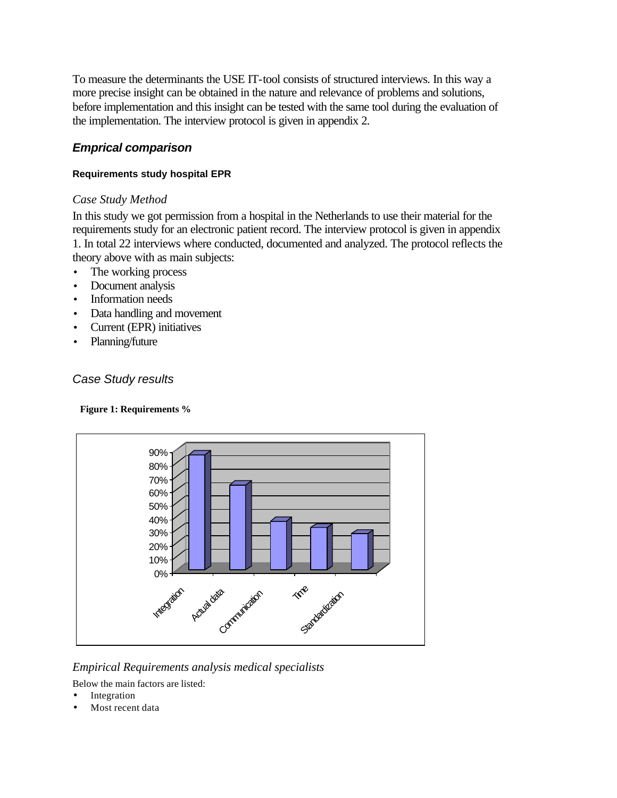To measure the determinants the USE IT-tool consists of structured interviews. In this way a more precise insight can be obtained in the nature and relevance of problems and solutions, before implementation and this insight can be tested with the same tool during the evaluation of the implementation. The interview protocol is given in appendix 2.

# *Emprical comparison*

## **Requirements study hospital EPR**

## *Case Study Method*

In this study we got permission from a hospital in the Netherlands to use their material for the requirements study for an electronic patient record. The interview protocol is given in appendix 1. In total 22 interviews where conducted, documented and analyzed. The protocol reflects the theory above with as main subjects:

- The working process
- Document analysis
- Information needs
- Data handling and movement
- Current (EPR) initiatives
- Planning/future

# *Case Study results*

### **Figure 1: Requirements %**



# *Empirical Requirements analysis medical specialists*

Below the main factors are listed:

- **Integration**
- Most recent data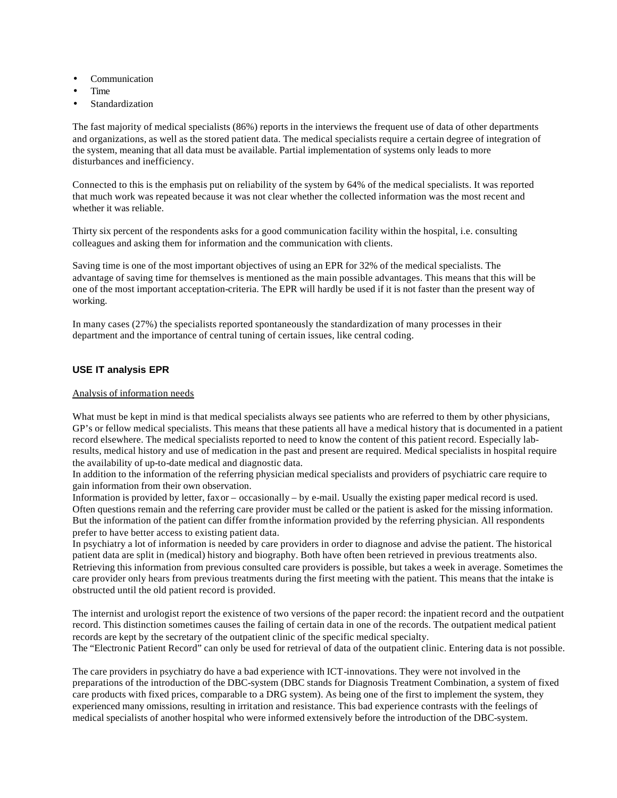- **Communication**
- Time
- **Standardization**

The fast majority of medical specialists (86%) reports in the interviews the frequent use of data of other departments and organizations, as well as the stored patient data. The medical specialists require a certain degree of integration of the system, meaning that all data must be available. Partial implementation of systems only leads to more disturbances and inefficiency.

Connected to this is the emphasis put on reliability of the system by 64% of the medical specialists. It was reported that much work was repeated because it was not clear whether the collected information was the most recent and whether it was reliable.

Thirty six percent of the respondents asks for a good communication facility within the hospital, i.e. consulting colleagues and asking them for information and the communication with clients.

Saving time is one of the most important objectives of using an EPR for 32% of the medical specialists. The advantage of saving time for themselves is mentioned as the main possible advantages. This means that this will be one of the most important acceptation-criteria. The EPR will hardly be used if it is not faster than the present way of working.

In many cases (27%) the specialists reported spontaneously the standardization of many processes in their department and the importance of central tuning of certain issues, like central coding.

#### **USE IT analysis EPR**

#### Analysis of information needs

What must be kept in mind is that medical specialists always see patients who are referred to them by other physicians, GP's or fellow medical specialists. This means that these patients all have a medical history that is documented in a patient record elsewhere. The medical specialists reported to need to know the content of this patient record. Especially labresults, medical history and use of medication in the past and present are required. Medical specialists in hospital require the availability of up-to-date medical and diagnostic data.

In addition to the information of the referring physician medical specialists and providers of psychiatric care require to gain information from their own observation.

Information is provided by letter, fax or – occasionally – by e-mail. Usually the existing paper medical record is used. Often questions remain and the referring care provider must be called or the patient is asked for the missing information. But the information of the patient can differ from the information provided by the referring physician. All respondents prefer to have better access to existing patient data.

In psychiatry a lot of information is needed by care providers in order to diagnose and advise the patient. The historical patient data are split in (medical) history and biography. Both have often been retrieved in previous treatments also. Retrieving this information from previous consulted care providers is possible, but takes a week in average. Sometimes the care provider only hears from previous treatments during the first meeting with the patient. This means that the intake is obstructed until the old patient record is provided.

The internist and urologist report the existence of two versions of the paper record: the inpatient record and the outpatient record. This distinction sometimes causes the failing of certain data in one of the records. The outpatient medical patient records are kept by the secretary of the outpatient clinic of the specific medical specialty.

The "Electronic Patient Record" can only be used for retrieval of data of the outpatient clinic. Entering data is not possible.

The care providers in psychiatry do have a bad experience with ICT-innovations. They were not involved in the preparations of the introduction of the DBC-system (DBC stands for Diagnosis Treatment Combination, a system of fixed care products with fixed prices, comparable to a DRG system). As being one of the first to implement the system, they experienced many omissions, resulting in irritation and resistance. This bad experience contrasts with the feelings of medical specialists of another hospital who were informed extensively before the introduction of the DBC-system.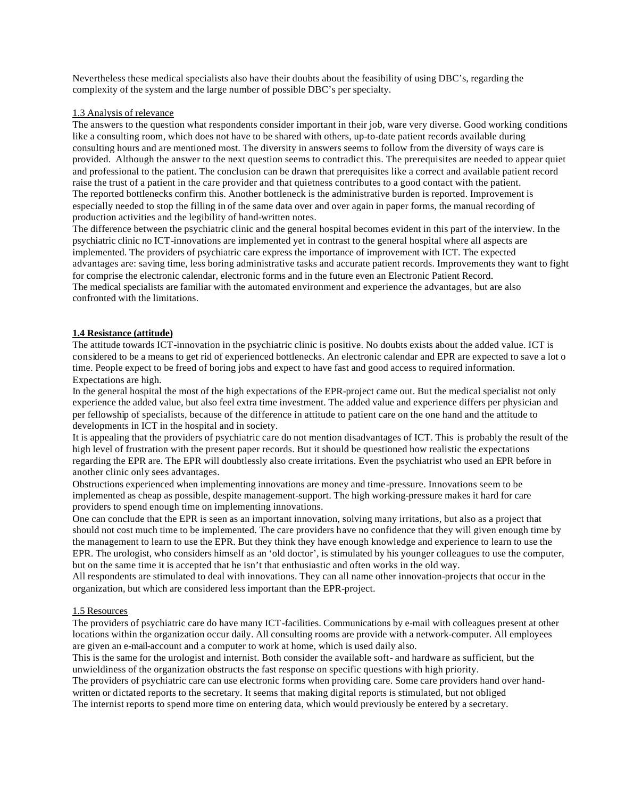Nevertheless these medical specialists also have their doubts about the feasibility of using DBC's, regarding the complexity of the system and the large number of possible DBC's per specialty.

#### 1.3 Analysis of relevance

The answers to the question what respondents consider important in their job, ware very diverse. Good working conditions like a consulting room, which does not have to be shared with others, up-to-date patient records available during consulting hours and are mentioned most. The diversity in answers seems to follow from the diversity of ways care is provided. Although the answer to the next question seems to contradict this. The prerequisites are needed to appear quiet and professional to the patient. The conclusion can be drawn that prerequisites like a correct and available patient record raise the trust of a patient in the care provider and that quietness contributes to a good contact with the patient. The reported bottlenecks confirm this. Another bottleneck is the administrative burden is reported. Improvement is especially needed to stop the filling in of the same data over and over again in paper forms, the manual recording of production activities and the legibility of hand-written notes.

The difference between the psychiatric clinic and the general hospital becomes evident in this part of the interview. In the psychiatric clinic no ICT-innovations are implemented yet in contrast to the general hospital where all aspects are implemented. The providers of psychiatric care express the importance of improvement with ICT. The expected advantages are: saving time, less boring administrative tasks and accurate patient records. Improvements they want to fight for comprise the electronic calendar, electronic forms and in the future even an Electronic Patient Record. The medical specialists are familiar with the automated environment and experience the advantages, but are also confronted with the limitations.

#### **1.4 Resistance (attitude)**

The attitude towards ICT-innovation in the psychiatric clinic is positive. No doubts exists about the added value. ICT is considered to be a means to get rid of experienced bottlenecks. An electronic calendar and EPR are expected to save a lot o time. People expect to be freed of boring jobs and expect to have fast and good access to required information. Expectations are high.

In the general hospital the most of the high expectations of the EPR-project came out. But the medical specialist not only experience the added value, but also feel extra time investment. The added value and experience differs per physician and per fellowship of specialists, because of the difference in attitude to patient care on the one hand and the attitude to developments in ICT in the hospital and in society.

It is appealing that the providers of psychiatric care do not mention disadvantages of ICT. This is probably the result of the high level of frustration with the present paper records. But it should be questioned how realistic the expectations regarding the EPR are. The EPR will doubtlessly also create irritations. Even the psychiatrist who used an EPR before in another clinic only sees advantages.

Obstructions experienced when implementing innovations are money and time-pressure. Innovations seem to be implemented as cheap as possible, despite management-support. The high working-pressure makes it hard for care providers to spend enough time on implementing innovations.

One can conclude that the EPR is seen as an important innovation, solving many irritations, but also as a project that should not cost much time to be implemented. The care providers have no confidence that they will given enough time by the management to learn to use the EPR. But they think they have enough knowledge and experience to learn to use the EPR. The urologist, who considers himself as an 'old doctor', is stimulated by his younger colleagues to use the computer, but on the same time it is accepted that he isn't that enthusiastic and often works in the old way.

All respondents are stimulated to deal with innovations. They can all name other innovation-projects that occur in the organization, but which are considered less important than the EPR-project.

#### 1.5 Resources

The providers of psychiatric care do have many ICT-facilities. Communications by e-mail with colleagues present at other locations within the organization occur daily. All consulting rooms are provide with a network-computer. All employees are given an e-mail-account and a computer to work at home, which is used daily also.

This is the same for the urologist and internist. Both consider the available soft- and hardware as sufficient, but the unwieldiness of the organization obstructs the fast response on specific questions with high priority.

The providers of psychiatric care can use electronic forms when providing care. Some care providers hand over handwritten or dictated reports to the secretary. It seems that making digital reports is stimulated, but not obliged The internist reports to spend more time on entering data, which would previously be entered by a secretary.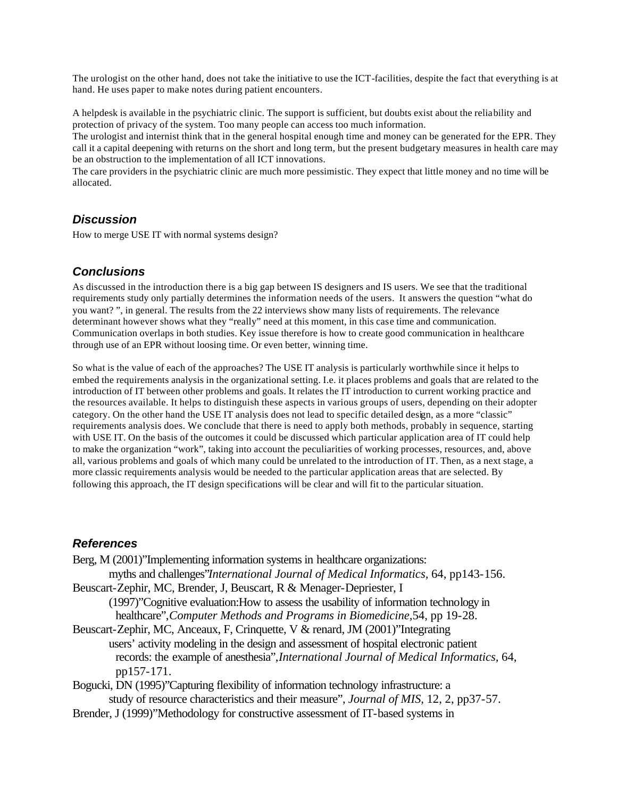The urologist on the other hand, does not take the initiative to use the ICT-facilities, despite the fact that everything is at hand. He uses paper to make notes during patient encounters.

A helpdesk is available in the psychiatric clinic. The support is sufficient, but doubts exist about the reliability and protection of privacy of the system. Too many people can access too much information.

The urologist and internist think that in the general hospital enough time and money can be generated for the EPR. They call it a capital deepening with returns on the short and long term, but the present budgetary measures in health care may be an obstruction to the implementation of all ICT innovations.

The care providers in the psychiatric clinic are much more pessimistic. They expect that little money and no time will be allocated.

## *Discussion*

How to merge USE IT with normal systems design?

## *Conclusions*

As discussed in the introduction there is a big gap between IS designers and IS users. We see that the traditional requirements study only partially determines the information needs of the users. It answers the question "what do you want? ", in general. The results from the 22 interviews show many lists of requirements. The relevance determinant however shows what they "really" need at this moment, in this case time and communication. Communication overlaps in both studies. Key issue therefore is how to create good communication in healthcare through use of an EPR without loosing time. Or even better, winning time.

So what is the value of each of the approaches? The USE IT analysis is particularly worthwhile since it helps to embed the requirements analysis in the organizational setting. I.e. it places problems and goals that are related to the introduction of IT between other problems and goals. It relates the IT introduction to current working practice and the resources available. It helps to distinguish these aspects in various groups of users, depending on their adopter category. On the other hand the USE IT analysis does not lead to specific detailed design, as a more "classic" requirements analysis does. We conclude that there is need to apply both methods, probably in sequence, starting with USE IT. On the basis of the outcomes it could be discussed which particular application area of IT could help to make the organization "work", taking into account the peculiarities of working processes, resources, and, above all, various problems and goals of which many could be unrelated to the introduction of IT. Then, as a next stage, a more classic requirements analysis would be needed to the particular application areas that are selected. By following this approach, the IT design specifications will be clear and will fit to the particular situation.

### *References*

Berg, M (2001)"Implementing information systems in healthcare organizations: myths and challenges"*International Journal of Medical Informatics,* 64, pp143-156. Beuscart-Zephir, MC, Brender, J, Beuscart, R & Menager-Depriester, I (1997)"Cognitive evaluation:How to assess the usability of information technology in healthcare",*Computer Methods and Programs in Biomedicine,*54, pp 19-28. Beuscart-Zephir, MC, Anceaux, F, Crinquette, V & renard, JM (2001)"Integrating users' activity modeling in the design and assessment of hospital electronic patient records: the example of anesthesia",*International Journal of Medical Informatics,* 64, pp157-171. Bogucki, DN (1995)"Capturing flexibility of information technology infrastructure: a

study of resource characteristics and their measure", *Journal of MIS,* 12, 2, pp37-57.

Brender, J (1999)"Methodology for constructive assessment of IT-based systems in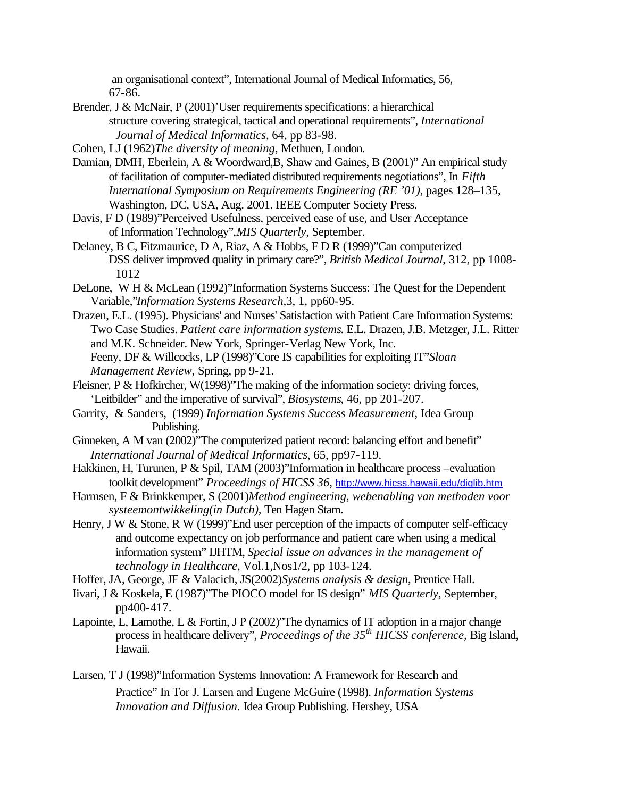an organisational context", International Journal of Medical Informatics, 56, 67-86.

- Brender, J & McNair, P (2001)'User requirements specifications: a hierarchical structure covering strategical, tactical and operational requirements", *International Journal of Medical Informatics,* 64, pp 83-98.
- Cohen, LJ (1962)*The diversity of meaning,* Methuen, London.
- Damian, DMH, Eberlein, A & Woordward,B, Shaw and Gaines, B (2001)" An empirical study of facilitation of computer-mediated distributed requirements negotiations", In *Fifth International Symposium on Requirements Engineering (RE '01)*, pages 128–135, Washington, DC, USA, Aug. 2001. IEEE Computer Society Press.
- Davis, F D (1989)"Perceived Usefulness, perceived ease of use, and User Acceptance of Information Technology",*MIS Quarterly,* September.
- Delaney, B C, Fitzmaurice, D A, Riaz, A & Hobbs, F D R (1999)"Can computerized DSS deliver improved quality in primary care?", *British Medical Journal*, 312, pp 1008- 1012
- DeLone, W H & McLean (1992)"Information Systems Success: The Quest for the Dependent Variable,"*Information Systems Research,*3, 1, pp60-95.
- Drazen, E.L. (1995). Physicians' and Nurses' Satisfaction with Patient Care Information Systems: Two Case Studies. *Patient care information systems*. E.L. Drazen, J.B. Metzger, J.L. Ritter and M.K. Schneider. New York, Springer-Verlag New York, Inc. Feeny, DF & Willcocks, LP (1998)"Core IS capabilities for exploiting IT"*Sloan Management Review,* Spring, pp 9-21.
- Fleisner, P & Hofkircher, W(1998)'The making of the information society: driving forces, 'Leitbilder" and the imperative of survival", *Biosystems*, 46, pp 201-207.
- Garrity, & Sanders, (1999) *Information Systems Success Measurement,* Idea Group Publishing.
- Ginneken, A M van (2002)"The computerized patient record: balancing effort and benefit" *International Journal of Medical Informatics,* 65, pp97-119.
- Hakkinen, H, Turunen, P & Spil, TAM (2003)"Information in healthcare process –evaluation toolkit development" *Proceedings of HICSS 36*, http://www.hicss.hawaii.edu/diglib.htm
- Harmsen, F & Brinkkemper, S (2001)*Method engineering, webenabling van methoden voor systeemontwikkeling(in Dutch),* Ten Hagen Stam.
- Henry, J W & Stone, R W (1999)'End user perception of the impacts of computer self-efficacy and outcome expectancy on job performance and patient care when using a medical information system" IJHTM, *Special issue on advances in the management of technology in Healthcare*, Vol.1,Nos1/2, pp 103-124.
- Hoffer, JA, George, JF & Valacich, JS(2002)*Systems analysis & design*, Prentice Hall.
- Iivari, J & Koskela, E (1987)"The PIOCO model for IS design" *MIS Quarterly,* September, pp400-417.
- Lapointe, L, Lamothe, L & Fortin, J P (2002)"The dynamics of IT adoption in a major change process in healthcare delivery", *Proceedings of the 35th HICSS conference,* Big Island, Hawaii.
- Larsen, T J (1998)"Information Systems Innovation: A Framework for Research and Practice" In Tor J. Larsen and Eugene McGuire (1998). *Information Systems Innovation and Diffusion.* Idea Group Publishing. Hershey, USA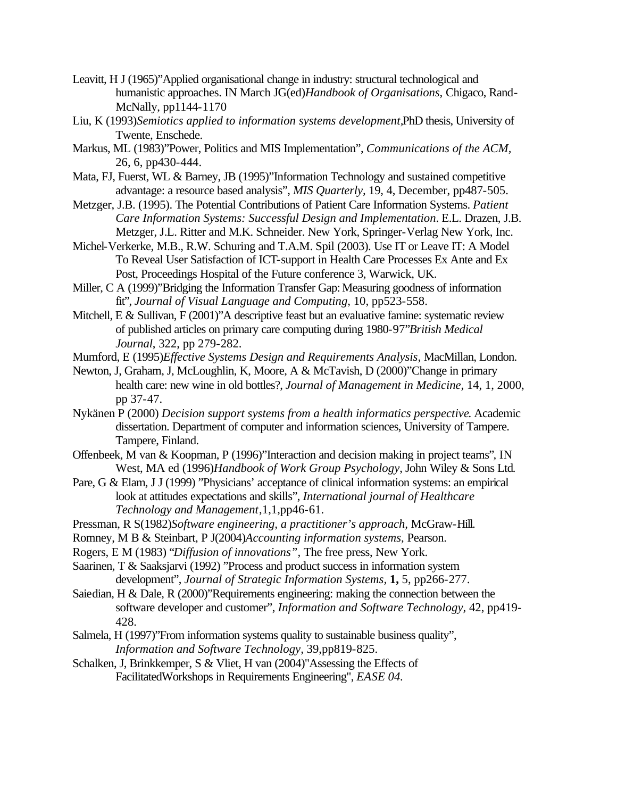- Leavitt, H J (1965)"Applied organisational change in industry: structural technological and humanistic approaches. IN March JG(ed)*Handbook of Organisations,* Chigaco, Rand-McNally, pp1144-1170
- Liu, K (1993)*Semiotics applied to information systems development,*PhD thesis, University of Twente, Enschede.
- Markus, ML (1983)"Power, Politics and MIS Implementation", *Communications of the ACM,*  26, 6, pp430-444.
- Mata, FJ, Fuerst, WL & Barney, JB (1995)"Information Technology and sustained competitive advantage: a resource based analysis", *MIS Quarterly,* 19, 4, December, pp487-505.
- Metzger, J.B. (1995). The Potential Contributions of Patient Care Information Systems. *Patient Care Information Systems: Successful Design and Implementation*. E.L. Drazen, J.B. Metzger, J.L. Ritter and M.K. Schneider. New York, Springer-Verlag New York, Inc.
- Michel-Verkerke, M.B., R.W. Schuring and T.A.M. Spil (2003). Use IT or Leave IT: A Model To Reveal User Satisfaction of ICT-support in Health Care Processes Ex Ante and Ex Post, Proceedings Hospital of the Future conference 3, Warwick, UK.
- Miller, C A (1999)"Bridging the Information Transfer Gap: Measuring goodness of information fit", *Journal of Visual Language and Computing*, 10, pp523-558.
- Mitchell, E & Sullivan, F (2001)"A descriptive feast but an evaluative famine: systematic review of published articles on primary care computing during 1980-97"*British Medical Journal*, 322, pp 279-282.

Mumford, E (1995)*Effective Systems Design and Requirements Analysis,* MacMillan, London.

- Newton, J, Graham, J, McLoughlin, K, Moore, A & McTavish, D (2000)"Change in primary health care: new wine in old bottles?, *Journal of Management in Medicine,* 14, 1, 2000, pp 37-47.
- Nykänen P (2000) *Decision support systems from a health informatics perspective*. Academic dissertation. Department of computer and information sciences, University of Tampere. Tampere, Finland.
- Offenbeek, M van & Koopman, P (1996)"Interaction and decision making in project teams"*,* IN West, MA ed (1996)*Handbook of Work Group Psychology*, John Wiley & Sons Ltd*.*
- Pare, G & Elam, J J (1999) "Physicians' acceptance of clinical information systems: an empirical look at attitudes expectations and skills", *International journal of Healthcare Technology and Management*,1,1,pp46-61.
- Pressman, R S(1982)*Software engineering, a practitioner's approach,* McGraw-Hill.
- Romney, M B & Steinbart, P J(2004)*Accounting information systems,* Pearson.
- Rogers, E M (1983) "*Diffusion of innovations",* The free press, New York.
- Saarinen, T & Saaksjarvi (1992) "Process and product success in information system development", *Journal of Strategic Information Systems,* **1,** 5, pp266-277.
- Saiedian, H & Dale, R (2000)"Requirements engineering: making the connection between the software developer and customer", *Information and Software Technology,* 42, pp419- 428.
- Salmela, H (1997)"From information systems quality to sustainable business quality", *Information and Software Technology,* 39,pp819-825.
- Schalken, J, Brinkkemper, S & Vliet, H van (2004)"Assessing the Effects of FacilitatedWorkshops in Requirements Engineering", *EASE 04.*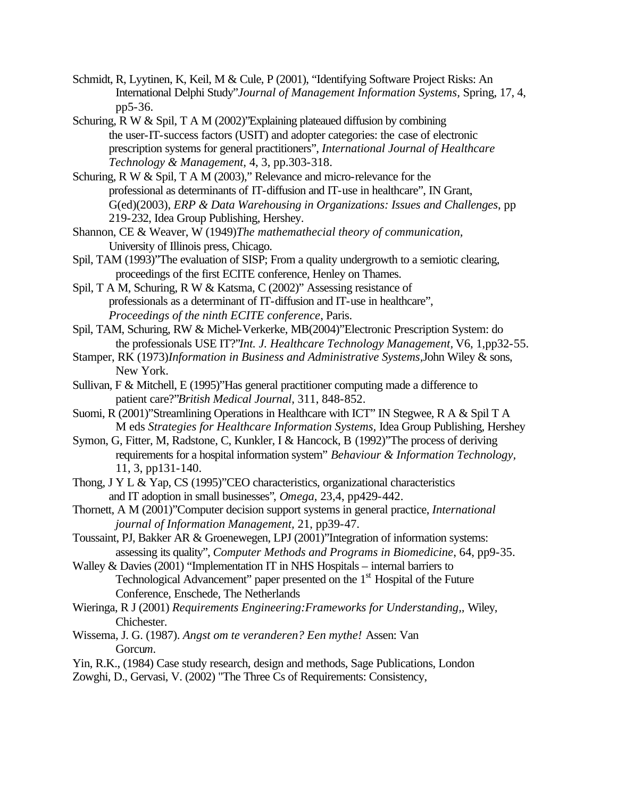- Schmidt, R, Lyytinen, K, Keil, M & Cule, P (2001), "Identifying Software Project Risks: An International Delphi Study"*Journal of Management Information Systems,* Spring, 17, 4, pp5-36.
- Schuring, R W & Spil, T A M (2002)"Explaining plateaued diffusion by combining the user-IT-success factors (USIT) and adopter categories: the case of electronic prescription systems for general practitioners", *International Journal of Healthcare Technology & Management,* 4, 3, pp.303-318.
- Schuring, R W & Spil, T A M (2003)," Relevance and micro-relevance for the professional as determinants of IT-diffusion and IT-use in healthcare", IN Grant, G(ed)(2003), *ERP & Data Warehousing in Organizations: Issues and Challenges*, pp 219-232, Idea Group Publishing, Hershey.
- Shannon, CE & Weaver, W (1949)*The mathemathecial theory of communication,*  University of Illinois press, Chicago.
- Spil, TAM (1993)"The evaluation of SISP; From a quality undergrowth to a semiotic clearing, proceedings of the first ECITE conference, Henley on Thames.
- Spil, T A M, Schuring, R W & Katsma, C (2002)" Assessing resistance of professionals as a determinant of IT-diffusion and IT-use in healthcare", *Proceedings of the ninth ECITE conference*, Paris.
- Spil, TAM, Schuring, RW & Michel-Verkerke, MB(2004)"Electronic Prescription System: do the professionals USE IT?"*Int. J. Healthcare Technology Management,* V6, 1,pp32-55.
- Stamper, RK (1973)*Information in Business and Administrative Systems,*John Wiley & sons, New York.
- Sullivan, F & Mitchell, E (1995)"Has general practitioner computing made a difference to patient care?"*British Medical Journal*, 311, 848-852.
- Suomi, R (2001)"Streamlining Operations in Healthcare with ICT" IN Stegwee, R A & Spil T A M eds *Strategies for Healthcare Information Systems,* Idea Group Publishing, Hershey
- Symon, G, Fitter, M, Radstone, C, Kunkler, I & Hancock, B (1992)"The process of deriving requirements for a hospital information system" *Behaviour & Information Technology,*  11, 3, pp131-140.
- Thong, J Y L & Yap, CS (1995)"CEO characteristics, organizational characteristics and IT adoption in small businesses", *Omega*, 23,4, pp429-442.
- Thornett, A M (2001)"Computer decision support systems in general practice, *International journal of Information Management,* 21, pp39-47.
- Toussaint, PJ, Bakker AR & Groenewegen, LPJ (2001)"Integration of information systems: assessing its quality", *Computer Methods and Programs in Biomedicine*, 64, pp9-35.
- Walley & Davies (2001) "Implementation IT in NHS Hospitals internal barriers to Technological Advancement" paper presented on the 1<sup>st</sup> Hospital of the Future Conference, Enschede, The Netherlands
- Wieringa, R J (2001) *Requirements Engineering:Frameworks for Understanding,,* Wiley, Chichester.
- Wissema, J. G. (1987). *Angst om te veranderen? Een mythe!* Assen: Van Gorcu*m.*
- Yin, R.K., (1984) Case study research, design and methods, Sage Publications, London
- Zowghi, D., Gervasi, V. (2002) "The Three Cs of Requirements: Consistency,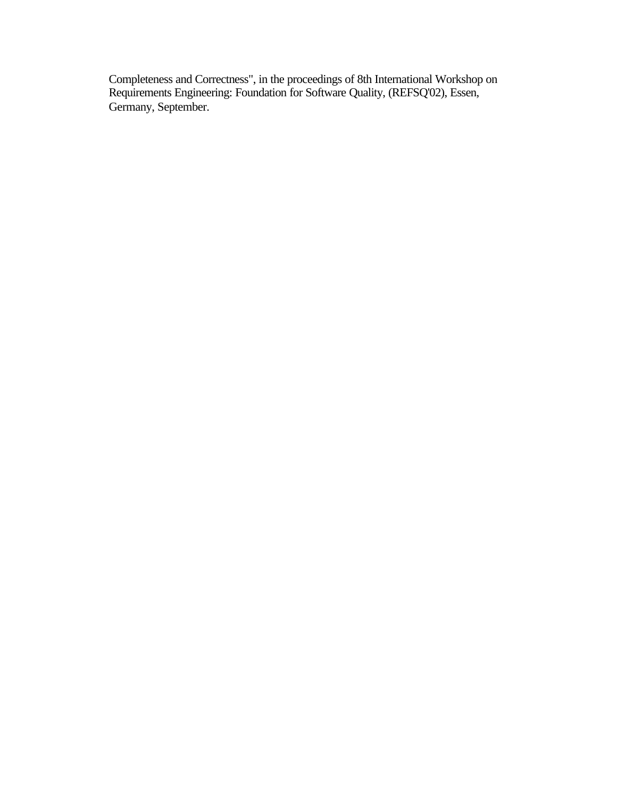Completeness and Correctness", in the proceedings of 8th International Workshop on Requirements Engineering: Foundation for Software Quality, (REFSQ'02), Essen, Germany, September.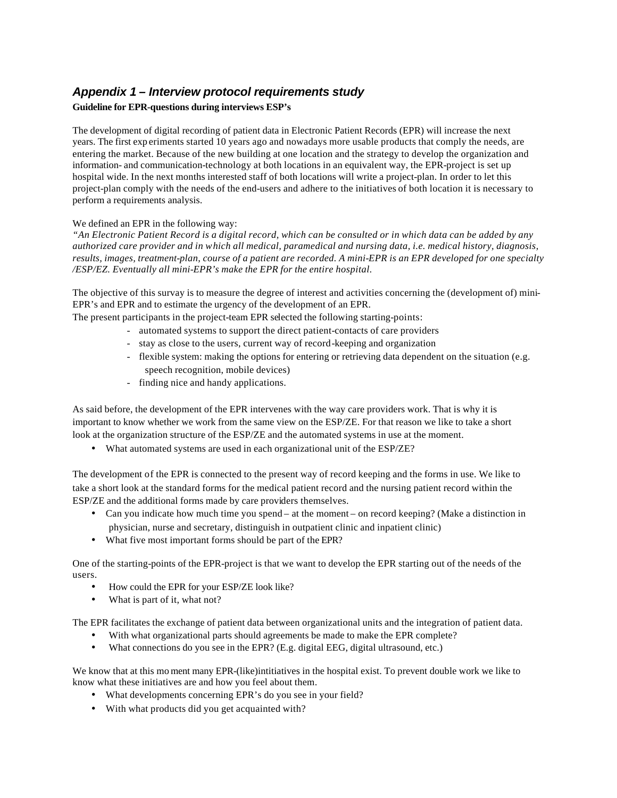# *Appendix 1 – Interview protocol requirements study*

#### **Guideline for EPR-questions during interviews ESP's**

The development of digital recording of patient data in Electronic Patient Records (EPR) will increase the next years. The first exp eriments started 10 years ago and nowadays more usable products that comply the needs, are entering the market. Because of the new building at one location and the strategy to develop the organization and information- and communication-technology at both locations in an equivalent way, the EPR-project is set up hospital wide. In the next months interested staff of both locations will write a project-plan. In order to let this project-plan comply with the needs of the end-users and adhere to the initiatives of both location it is necessary to perform a requirements analysis.

#### We defined an EPR in the following way:

*"An Electronic Patient Record is a digital record, which can be consulted or in which data can be added by any authorized care provider and in which all medical, paramedical and nursing data, i.e. medical history, diagnosis, results, images, treatment-plan, course of a patient are recorded. A mini-EPR is an EPR developed for one specialty /ESP/EZ. Eventually all mini-EPR's make the EPR for the entire hospital.*

The objective of this survay is to measure the degree of interest and activities concerning the (development of) mini-EPR's and EPR and to estimate the urgency of the development of an EPR.

The present participants in the project-team EPR selected the following starting-points:

- automated systems to support the direct patient-contacts of care providers
- stay as close to the users, current way of record-keeping and organization
- flexible system: making the options for entering or retrieving data dependent on the situation (e.g. speech recognition, mobile devices)
- finding nice and handy applications.

As said before, the development of the EPR intervenes with the way care providers work. That is why it is important to know whether we work from the same view on the ESP/ZE. For that reason we like to take a short look at the organization structure of the ESP/ZE and the automated systems in use at the moment.

• What automated systems are used in each organizational unit of the ESP/ZE?

The development of the EPR is connected to the present way of record keeping and the forms in use. We like to take a short look at the standard forms for the medical patient record and the nursing patient record within the ESP/ZE and the additional forms made by care providers themselves.

- Can you indicate how much time you spend at the moment on record keeping? (Make a distinction in physician, nurse and secretary, distinguish in outpatient clinic and inpatient clinic)
- What five most important forms should be part of the EPR?

One of the starting-points of the EPR-project is that we want to develop the EPR starting out of the needs of the users.

- How could the EPR for your ESP/ZE look like?
- What is part of it, what not?

The EPR facilitates the exchange of patient data between organizational units and the integration of patient data.

- With what organizational parts should agreements be made to make the EPR complete?
- What connections do you see in the EPR? (E.g. digital EEG, digital ultrasound, etc.)

We know that at this mo ment many EPR-(like)intitiatives in the hospital exist. To prevent double work we like to know what these initiatives are and how you feel about them.

- What developments concerning EPR's do you see in your field?
- With what products did you get acquainted with?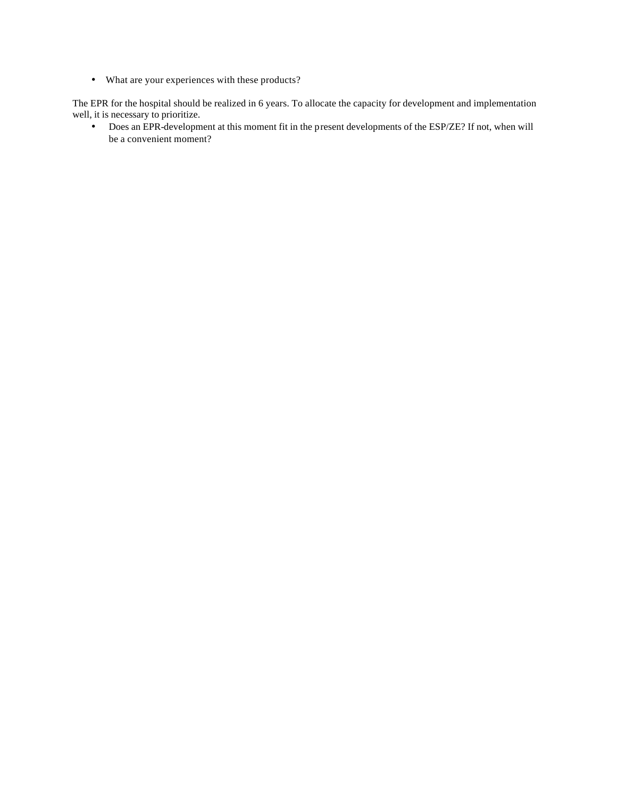• What are your experiences with these products?

The EPR for the hospital should be realized in 6 years. To allocate the capacity for development and implementation well, it is necessary to prioritize.

• Does an EPR-development at this moment fit in the present developments of the ESP/ZE? If not, when will be a convenient moment?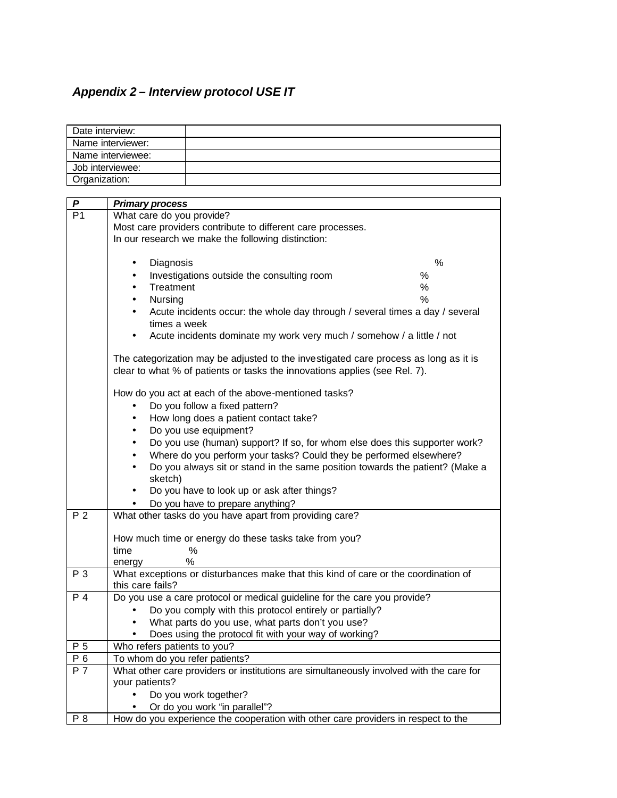# *Appendix 2 – Interview protocol USE IT*

| Date interview:  |                                                                                         |
|------------------|-----------------------------------------------------------------------------------------|
|                  | Name interviewer:                                                                       |
|                  | Name interviewee:                                                                       |
| Job interviewee: |                                                                                         |
| Organization:    |                                                                                         |
|                  |                                                                                         |
| P                | <b>Primary process</b>                                                                  |
| P1               | What care do you provide?                                                               |
|                  | Most care providers contribute to different care processes.                             |
|                  | In our research we make the following distinction:                                      |
|                  |                                                                                         |
|                  | %<br>Diagnosis<br>$\bullet$                                                             |
|                  | Investigations outside the consulting room<br>%<br>$\bullet$                            |
|                  | Treatment<br>%<br>$\bullet$                                                             |
|                  | $\%$<br>Nursing                                                                         |
|                  | Acute incidents occur: the whole day through / several times a day / several            |
|                  | times a week                                                                            |
|                  | Acute incidents dominate my work very much / somehow / a little / not                   |
|                  | The categorization may be adjusted to the investigated care process as long as it is    |
|                  | clear to what % of patients or tasks the innovations applies (see Rel. 7).              |
|                  |                                                                                         |
|                  | How do you act at each of the above-mentioned tasks?                                    |
|                  | Do you follow a fixed pattern?<br>$\bullet$                                             |
|                  | How long does a patient contact take?<br>$\bullet$                                      |
|                  | Do you use equipment?<br>$\bullet$                                                      |
|                  | Do you use (human) support? If so, for whom else does this supporter work?<br>$\bullet$ |
|                  | Where do you perform your tasks? Could they be performed elsewhere?<br>$\bullet$        |
|                  | Do you always sit or stand in the same position towards the patient? (Make a            |
|                  | sketch)                                                                                 |
|                  | Do you have to look up or ask after things?                                             |
|                  | Do you have to prepare anything?                                                        |
| P <sub>2</sub>   | What other tasks do you have apart from providing care?                                 |
|                  |                                                                                         |
|                  | How much time or energy do these tasks take from you?                                   |
|                  | %<br>time                                                                               |
|                  | ℅<br>energy                                                                             |
| Р3               | What exceptions or disturbances make that this kind of care or the coordination of      |
|                  | this care fails?                                                                        |
| P 4              | Do you use a care protocol or medical guideline for the care you provide?               |
|                  | Do you comply with this protocol entirely or partially?                                 |
|                  | What parts do you use, what parts don't you use?<br>$\bullet$                           |
|                  | Does using the protocol fit with your way of working?                                   |
| P 5              | Who refers patients to you?                                                             |
| P 6              | To whom do you refer patients?                                                          |
| P 7              | What other care providers or institutions are simultaneously involved with the care for |
|                  | your patients?                                                                          |
|                  | Do you work together?<br>$\bullet$                                                      |
|                  | Or do you work "in parallel"?                                                           |
| P 8              | How do you experience the cooperation with other care providers in respect to the       |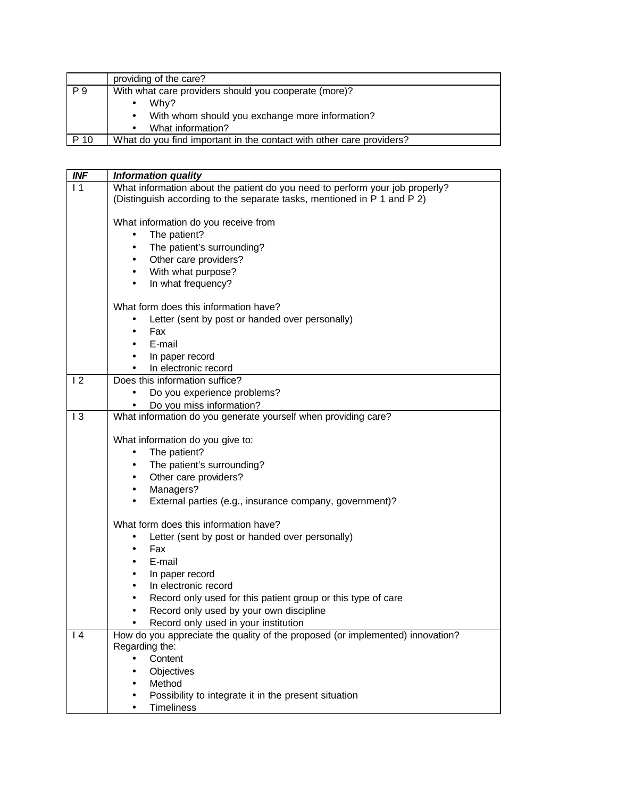|                | providing of the care?                                               |  |
|----------------|----------------------------------------------------------------------|--|
| P <sub>9</sub> | With what care providers should you cooperate (more)?                |  |
|                | Why?                                                                 |  |
|                | With whom should you exchange more information?<br>$\bullet$         |  |
|                | What information?                                                    |  |
| P 10           | What do you find important in the contact with other care providers? |  |

| <b>INF</b> | <b>Information quality</b>                                                                     |
|------------|------------------------------------------------------------------------------------------------|
| $\vert$ 1  | What information about the patient do you need to perform your job properly?                   |
|            | (Distinguish according to the separate tasks, mentioned in P 1 and P 2)                        |
|            | What information do you receive from                                                           |
|            | The patient?<br>$\bullet$                                                                      |
|            | The patient's surrounding?<br>$\bullet$                                                        |
|            | Other care providers?<br>$\bullet$                                                             |
|            | With what purpose?<br>$\bullet$                                                                |
|            | In what frequency?<br>$\bullet$                                                                |
|            | What form does this information have?                                                          |
|            | Letter (sent by post or handed over personally)                                                |
|            | Fax<br>$\bullet$                                                                               |
|            | E-mail<br>$\bullet$                                                                            |
|            | In paper record<br>$\bullet$                                                                   |
|            | In electronic record<br>$\bullet$                                                              |
| 12         | Does this information suffice?                                                                 |
|            | Do you experience problems?<br>$\bullet$                                                       |
|            | Do you miss information?                                                                       |
| 13         | What information do you generate yourself when providing care?                                 |
|            |                                                                                                |
|            | What information do you give to:                                                               |
|            | The patient?<br>$\bullet$                                                                      |
|            | The patient's surrounding?<br>$\bullet$                                                        |
|            | Other care providers?<br>$\bullet$                                                             |
|            | Managers?<br>$\bullet$<br>External parties (e.g., insurance company, government)?<br>$\bullet$ |
|            |                                                                                                |
|            | What form does this information have?                                                          |
|            | Letter (sent by post or handed over personally)<br>$\bullet$                                   |
|            | Fax<br>$\bullet$                                                                               |
|            | E-mail<br>$\bullet$                                                                            |
|            | In paper record<br>٠                                                                           |
|            | In electronic record<br>$\bullet$                                                              |
|            | Record only used for this patient group or this type of care                                   |
|            | Record only used by your own discipline<br>$\bullet$                                           |
|            | Record only used in your institution                                                           |
| 4          | How do you appreciate the quality of the proposed (or implemented) innovation?                 |
|            | Regarding the:<br>Content                                                                      |
|            |                                                                                                |
|            | Objectives                                                                                     |
|            |                                                                                                |
|            | Method<br>Possibility to integrate it in the present situation                                 |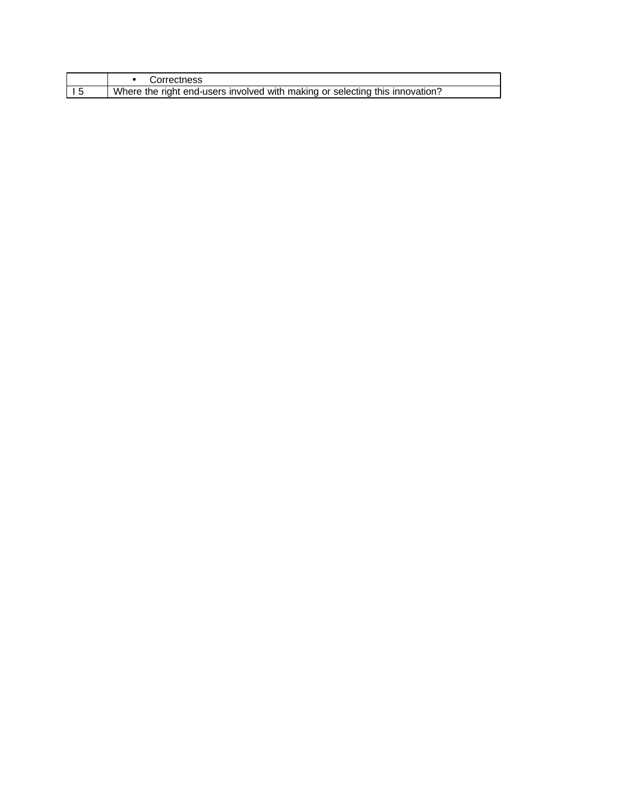| Correctness                                                                  |
|------------------------------------------------------------------------------|
| Where the right end-users involved with making or selecting this innovation? |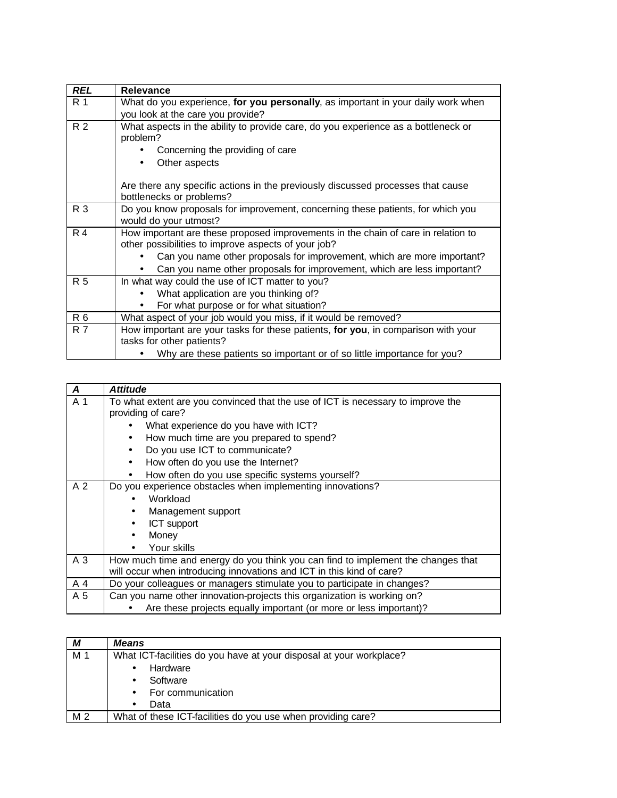| <b>REL</b>     | <b>Relevance</b>                                                                                                                         |
|----------------|------------------------------------------------------------------------------------------------------------------------------------------|
| R 1            | What do you experience, for you personally, as important in your daily work when                                                         |
|                | you look at the care you provide?                                                                                                        |
| R <sub>2</sub> | What aspects in the ability to provide care, do you experience as a bottleneck or<br>problem?                                            |
|                | Concerning the providing of care                                                                                                         |
|                | Other aspects                                                                                                                            |
|                | Are there any specific actions in the previously discussed processes that cause<br>bottlenecks or problems?                              |
| R 3            | Do you know proposals for improvement, concerning these patients, for which you<br>would do your utmost?                                 |
| R <sub>4</sub> | How important are these proposed improvements in the chain of care in relation to<br>other possibilities to improve aspects of your job? |
|                | Can you name other proposals for improvement, which are more important?                                                                  |
|                | Can you name other proposals for improvement, which are less important?                                                                  |
| R 5            | In what way could the use of ICT matter to you?                                                                                          |
|                | What application are you thinking of?                                                                                                    |
|                | For what purpose or for what situation?                                                                                                  |
| R 6            | What aspect of your job would you miss, if it would be removed?                                                                          |
| <b>R</b> 7     | How important are your tasks for these patients, for you, in comparison with your<br>tasks for other patients?                           |
|                | Why are these patients so important or of so little importance for you?                                                                  |

| $\boldsymbol{A}$ | <b>Attitude</b>                                                                  |  |
|------------------|----------------------------------------------------------------------------------|--|
| A 1              | To what extent are you convinced that the use of ICT is necessary to improve the |  |
|                  | providing of care?                                                               |  |
|                  | What experience do you have with ICT?                                            |  |
|                  | How much time are you prepared to spend?                                         |  |
|                  | Do you use ICT to communicate?                                                   |  |
|                  | How often do you use the Internet?<br>$\bullet$                                  |  |
|                  | How often do you use specific systems yourself?                                  |  |
| A <sub>2</sub>   | Do you experience obstacles when implementing innovations?                       |  |
|                  | Workload                                                                         |  |
|                  | Management support<br>$\bullet$                                                  |  |
|                  | ICT support<br>$\bullet$                                                         |  |
|                  | Money<br>$\bullet$                                                               |  |
|                  | Your skills                                                                      |  |
| A 3              | How much time and energy do you think you can find to implement the changes that |  |
|                  | will occur when introducing innovations and ICT in this kind of care?            |  |
| A 4              | Do your colleagues or managers stimulate you to participate in changes?          |  |
| A 5              | Can you name other innovation-projects this organization is working on?          |  |
|                  | Are these projects equally important (or more or less important)?                |  |

| М              | <b>Means</b>                                                        |  |
|----------------|---------------------------------------------------------------------|--|
| M 1            | What ICT-facilities do you have at your disposal at your workplace? |  |
|                | Hardware                                                            |  |
|                | Software                                                            |  |
|                | For communication                                                   |  |
|                | Data                                                                |  |
| M <sub>2</sub> | What of these ICT-facilities do you use when providing care?        |  |